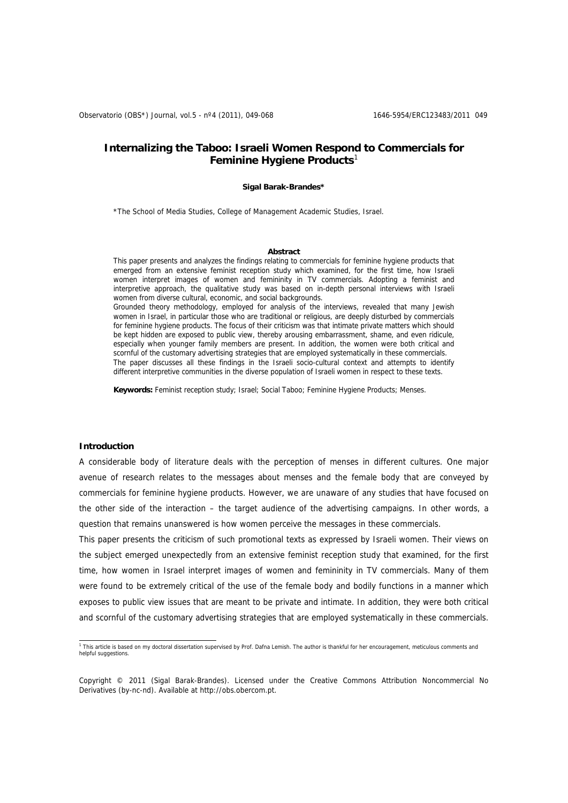# **Internalizing the Taboo: Israeli Women Respond to Commercials for Feminine Hygiene Products**[1](#page-0-0)

#### **Sigal Barak-Brandes\***

\*The School of Media Studies, College of Management Academic Studies, Israel.

#### **Abstract**

This paper presents and analyzes the findings relating to commercials for feminine hygiene products that emerged from an extensive feminist reception study which examined, for the first time, how Israeli women interpret images of women and femininity in TV commercials. Adopting a feminist and interpretive approach, the qualitative study was based on in-depth personal interviews with Israeli women from diverse cultural, economic, and social backgrounds. Grounded theory methodology, employed for analysis of the interviews, revealed that many Jewish women in Israel, in particular those who are traditional or religious, are deeply disturbed by commercials for feminine hygiene products. The focus of their criticism was that intimate private matters which should be kept hidden are exposed to public view, thereby arousing embarrassment, shame, and even ridicule, especially when younger family members are present. In addition, the women were both critical and scornful of the customary advertising strategies that are employed systematically in these commercials.

The paper discusses all these findings in the Israeli socio-cultural context and attempts to identify different interpretive communities in the diverse population of Israeli women in respect to these texts.

**Keywords:** Feminist reception study; Israel; Social Taboo; Feminine Hygiene Products; Menses.

#### **Introduction**

A considerable body of literature deals with the perception of menses in different cultures. One major avenue of research relates to the messages about menses and the female body that are conveyed by commercials for feminine hygiene products. However, we are unaware of any studies that have focused on the other side of the interaction – the target audience of the advertising campaigns. In other words, a question that remains unanswered is how women perceive the messages in these commercials.

This paper presents the criticism of such promotional texts as expressed by Israeli women. Their views on the subject emerged unexpectedly from an extensive feminist reception study that examined, for the first time, how women in Israel interpret images of women and femininity in TV commercials. Many of them were found to be extremely critical of the use of the female body and bodily functions in a manner which exposes to public view issues that are meant to be private and intimate. In addition, they were both critical and scornful of the customary advertising strategies that are employed systematically in these commercials.

<span id="page-0-0"></span> 1 This article is based on my doctoral dissertation supervised by Prof. Dafna Lemish. The author is thankful for her encouragement, meticulous comments and helpful suggestions.

Copyright © 2011 (Sigal Barak-Brandes). Licensed under the Creative Commons Attribution Noncommercial No Derivatives (by-nc-nd). Available at http://obs.obercom.pt.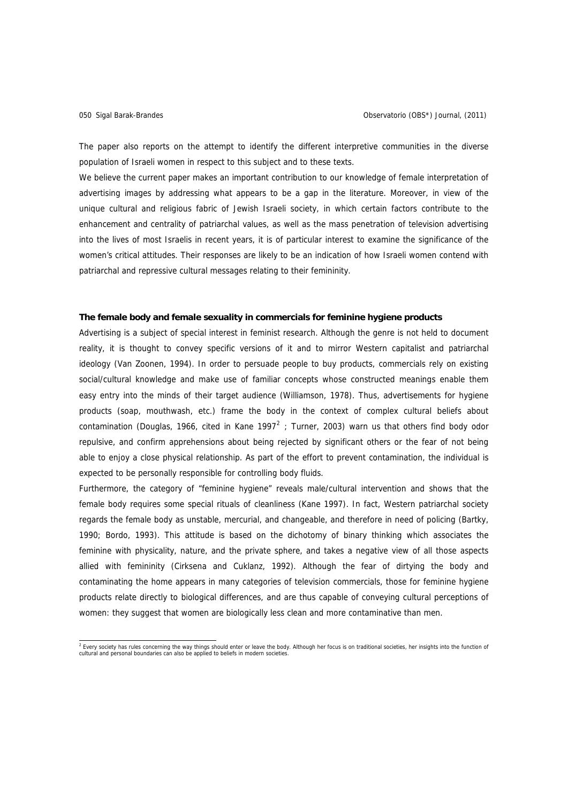The paper also reports on the attempt to identify the different interpretive communities in the diverse population of Israeli women in respect to this subject and to these texts.

We believe the current paper makes an important contribution to our knowledge of female interpretation of advertising images by addressing what appears to be a gap in the literature. Moreover, in view of the unique cultural and religious fabric of Jewish Israeli society, in which certain factors contribute to the enhancement and centrality of patriarchal values, as well as the mass penetration of television advertising into the lives of most Israelis in recent years, it is of particular interest to examine the significance of the women's critical attitudes. Their responses are likely to be an indication of how Israeli women contend with patriarchal and repressive cultural messages relating to their femininity.

# **The female body and female sexuality in commercials for feminine hygiene products**

Advertising is a subject of special interest in feminist research. Although the genre is not held to document reality, it is thought to convey specific versions of it and to mirror Western capitalist and patriarchal ideology (Van Zoonen, 1994). In order to persuade people to buy products, commercials rely on existing social/cultural knowledge and make use of familiar concepts whose constructed meanings enable them easy entry into the minds of their target audience (Williamson, 1978). Thus, advertisements for hygiene products (soap, mouthwash, etc.) frame the body in the context of complex cultural beliefs about contamination (Douglas, 1966, cited in Kane 1997<sup>[2](#page-1-0)</sup>; Turner, 2003) warn us that others find body odor repulsive, and confirm apprehensions about being rejected by significant others or the fear of not being able to enjoy a close physical relationship. As part of the effort to prevent contamination, the individual is expected to be personally responsible for controlling body fluids.

Furthermore, the category of "feminine hygiene" reveals male/cultural intervention and shows that the female body requires some special rituals of cleanliness (Kane 1997). In fact, Western patriarchal society regards the female body as unstable, mercurial, and changeable, and therefore in need of policing (Bartky, 1990; Bordo, 1993). This attitude is based on the dichotomy of binary thinking which associates the feminine with physicality, nature, and the private sphere, and takes a negative view of all those aspects allied with femininity (Cirksena and Cuklanz, 1992). Although the fear of dirtying the body and contaminating the home appears in many categories of television commercials, those for feminine hygiene products relate directly to biological differences, and are thus capable of conveying cultural perceptions of women: they suggest that women are biologically less clean and more contaminative than men.

<span id="page-1-0"></span><sup>&</sup>lt;sup>2</sup> Every society has rules concerning the way things should enter or leave the body. Although her focus is on traditional societies, her insights into the function of cultural and personal boundaries can also be applied to beliefs in modern societies.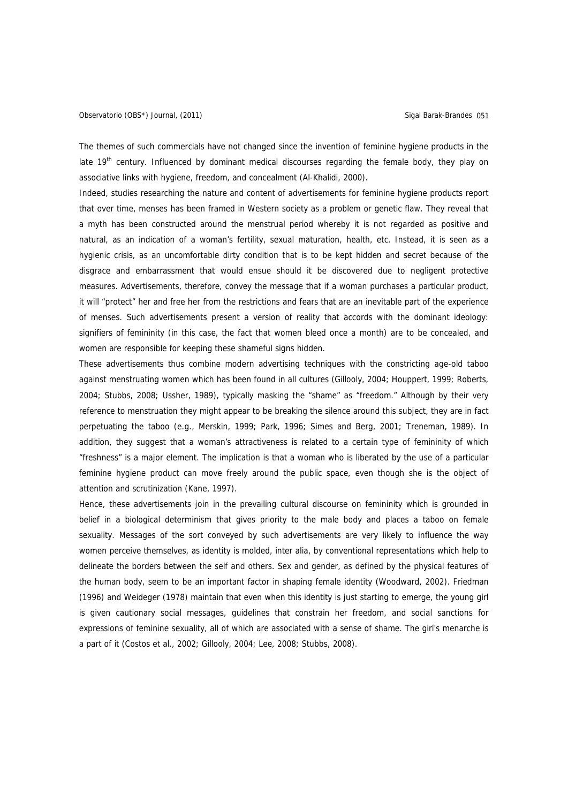The themes of such commercials have not changed since the invention of feminine hygiene products in the late 19<sup>th</sup> century. Influenced by dominant medical discourses regarding the female body, they play on associative links with hygiene, freedom, and concealment (Al-Khalidi, 2000).

Indeed, studies researching the nature and content of advertisements for feminine hygiene products report that over time, menses has been framed in Western society as a problem or genetic flaw. They reveal that a myth has been constructed around the menstrual period whereby it is not regarded as positive and natural, as an indication of a woman's fertility, sexual maturation, health, etc. Instead, it is seen as a hygienic crisis, as an uncomfortable dirty condition that is to be kept hidden and secret because of the disgrace and embarrassment that would ensue should it be discovered due to negligent protective measures. Advertisements, therefore, convey the message that if a woman purchases a particular product, it will "protect" her and free her from the restrictions and fears that are an inevitable part of the experience of menses. Such advertisements present a version of reality that accords with the dominant ideology: signifiers of femininity (in this case, the fact that women bleed once a month) are to be concealed, and women are responsible for keeping these shameful signs hidden.

These advertisements thus combine modern advertising techniques with the constricting age-old taboo against menstruating women which has been found in all cultures (Gillooly, 2004; Houppert, 1999; Roberts, 2004; Stubbs, 2008; Ussher, 1989), typically masking the "shame" as "freedom." Although by their very reference to menstruation they might appear to be breaking the silence around this subject, they are in fact perpetuating the taboo (e.g., Merskin, 1999; Park, 1996; Simes and Berg, 2001; Treneman, 1989). In addition, they suggest that a woman's attractiveness is related to a certain type of femininity of which "freshness" is a major element. The implication is that a woman who is liberated by the use of a particular feminine hygiene product can move freely around the public space, even though she is the object of attention and scrutinization (Kane, 1997).

Hence, these advertisements join in the prevailing cultural discourse on femininity which is grounded in belief in a biological determinism that gives priority to the male body and places a taboo on female sexuality. Messages of the sort conveyed by such advertisements are very likely to influence the way women perceive themselves, as identity is molded, inter alia, by conventional representations which help to delineate the borders between the self and others. Sex and gender, as defined by the physical features of the human body, seem to be an important factor in shaping female identity (Woodward, 2002). Friedman (1996) and Weideger (1978) maintain that even when this identity is just starting to emerge, the young girl is given cautionary social messages, guidelines that constrain her freedom, and social sanctions for expressions of feminine sexuality, all of which are associated with a sense of shame. The girl's menarche is a part of it (Costos et al., 2002; Gillooly, 2004; Lee, 2008; Stubbs, 2008).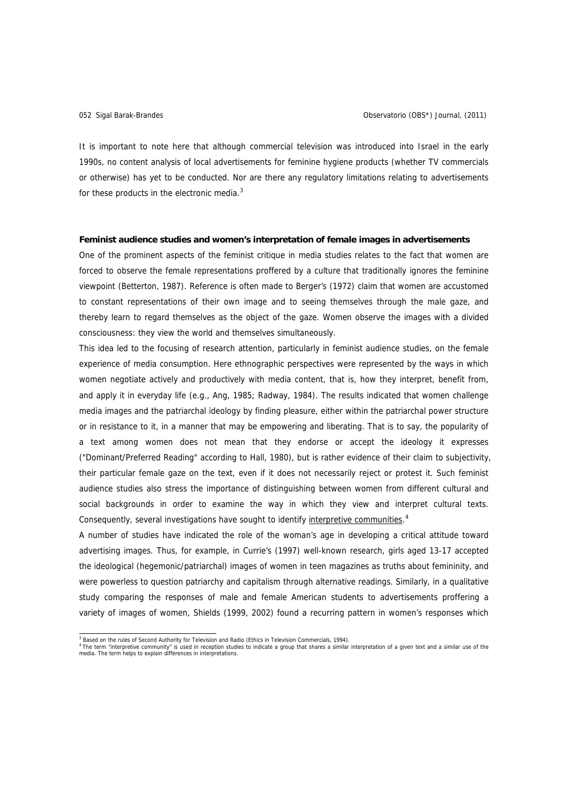It is important to note here that although commercial television was introduced into Israel in the early 1990s, no content analysis of local advertisements for feminine hygiene products (whether TV commercials or otherwise) has yet to be conducted. Nor are there any regulatory limitations relating to advertisements for these products in the electronic media. $3$ 

#### **Feminist audience studies and women's interpretation of female images in advertisements**

One of the prominent aspects of the feminist critique in media studies relates to the fact that women are forced to observe the female representations proffered by a culture that traditionally ignores the feminine viewpoint (Betterton, 1987). Reference is often made to Berger's (1972) claim that women are accustomed to constant representations of their own image and to seeing themselves through the male gaze, and thereby learn to regard themselves as the object of the gaze. Women observe the images with a divided consciousness: they view the world and themselves simultaneously.

This idea led to the focusing of research attention, particularly in feminist audience studies, on the female experience of media consumption. Here ethnographic perspectives were represented by the ways in which women negotiate actively and productively with media content, that is, how they interpret, benefit from, and apply it in everyday life (e.g., Ang, 1985; Radway, 1984). The results indicated that women challenge media images and the patriarchal ideology by finding pleasure, either within the patriarchal power structure or in resistance to it, in a manner that may be empowering and liberating. That is to say, the popularity of a text among women does not mean that they endorse or accept the ideology it expresses ("Dominant/Preferred Reading" according to Hall, 1980), but is rather evidence of their claim to subjectivity, their particular female gaze on the text, even if it does not necessarily reject or protest it. Such feminist audience studies also stress the importance of distinguishing between women from different cultural and social backgrounds in order to examine the way in which they view and interpret cultural texts. Consequently, several investigations have sought to identify interpretive communities.<sup>[4](#page-3-1)</sup>

A number of studies have indicated the role of the woman's age in developing a critical attitude toward advertising images. Thus, for example, in Currie's (1997) well-known research, girls aged 13-17 accepted the ideological (hegemonic/patriarchal) images of women in teen magazines as truths about femininity, and were powerless to question patriarchy and capitalism through alternative readings. Similarly, in a qualitative study comparing the responses of male and female American students to advertisements proffering a variety of images of women, Shields (1999, 2002) found a recurring pattern in women's responses which

<sup>-&</sup>lt;br>3

<span id="page-3-1"></span><span id="page-3-0"></span>Based on the rules of second Admong for relevance and nadio (Linus in relevance somewhere  $\frac{1}{2}$ ,  $\frac{1}{2}$ ,  $\frac{1}{2}$ ,  $\frac{1}{2}$ ,  $\frac{1}{2}$ ,  $\frac{1}{2}$ ,  $\frac{1}{2}$  and a similar use of the  $\frac{1}{2}$ . The term "interpret media. The term helps to explain differences in interpretations.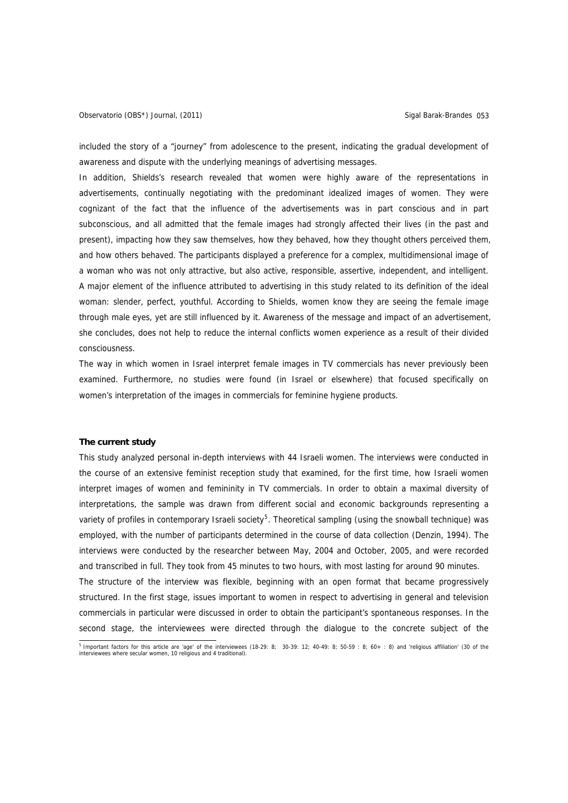included the story of a "journey" from adolescence to the present, indicating the gradual development of awareness and dispute with the underlying meanings of advertising messages.

In addition, Shields's research revealed that women were highly aware of the representations in advertisements, continually negotiating with the predominant idealized images of women. They were cognizant of the fact that the influence of the advertisements was in part conscious and in part subconscious, and all admitted that the female images had strongly affected their lives (in the past and present), impacting how they saw themselves, how they behaved, how they thought others perceived them, and how others behaved. The participants displayed a preference for a complex, multidimensional image of a woman who was not only attractive, but also active, responsible, assertive, independent, and intelligent. A major element of the influence attributed to advertising in this study related to its definition of the ideal woman: slender, perfect, youthful. According to Shields, women know they are seeing the female image through male eyes, yet are still influenced by it. Awareness of the message and impact of an advertisement, she concludes, does not help to reduce the internal conflicts women experience as a result of their divided consciousness.

The way in which women in Israel interpret female images in TV commercials has never previously been examined. Furthermore, no studies were found (in Israel or elsewhere) that focused specifically on women's interpretation of the images in commercials for feminine hygiene products.

### **The current study**

This study analyzed personal in-depth interviews with 44 Israeli women. The interviews were conducted in the course of an extensive feminist reception study that examined, for the first time, how Israeli women interpret images of women and femininity in TV commercials. In order to obtain a maximal diversity of interpretations, the sample was drawn from different social and economic backgrounds representing a variety of profiles in contemporary Israeli society<sup>[5](#page-4-0)</sup>. Theoretical sampling (using the snowball technique) was employed, with the number of participants determined in the course of data collection (Denzin, 1994). The interviews were conducted by the researcher between May, 2004 and October, 2005, and were recorded and transcribed in full. They took from 45 minutes to two hours, with most lasting for around 90 minutes. The structure of the interview was flexible, beginning with an open format that became progressively structured. In the first stage, issues important to women in respect to advertising in general and television commercials in particular were discussed in order to obtain the participant's spontaneous responses. In the second stage, the interviewees were directed through the dialogue to the concrete subject of the

<span id="page-4-0"></span><sup>&</sup>lt;sup>5</sup> Important factors for this article are 'age' of the interviewees (18-29: 8; 30-39: 12; 40-49: 8; 50-59 : 8; 60+ : 8) and 'religious affiliation' (30 of the interviewees where secular women, 10 religious and 4 traditional).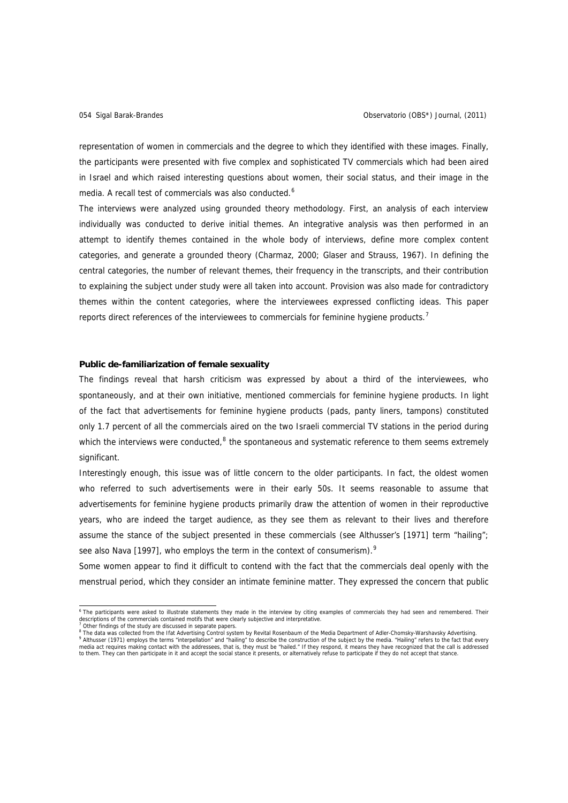representation of women in commercials and the degree to which they identified with these images. Finally, the participants were presented with five complex and sophisticated TV commercials which had been aired in Israel and which raised interesting questions about women, their social status, and their image in the media. A recall test of commercials was also conducted.<sup>[6](#page-5-0)</sup>

The interviews were analyzed using grounded theory methodology. First, an analysis of each interview individually was conducted to derive initial themes. An integrative analysis was then performed in an attempt to identify themes contained in the whole body of interviews, define more complex content categories, and generate a grounded theory (Charmaz, 2000; Glaser and Strauss, 1967). In defining the central categories, the number of relevant themes, their frequency in the transcripts, and their contribution to explaining the subject under study were all taken into account. Provision was also made for contradictory themes within the content categories, where the interviewees expressed conflicting ideas. This paper reports direct references of the interviewees to commercials for feminine hygiene products.<sup>[7](#page-5-1)</sup>

# **Public de-familiarization of female sexuality**

The findings reveal that harsh criticism was expressed by about a third of the interviewees, who spontaneously, and at their own initiative, mentioned commercials for feminine hygiene products. In light of the fact that advertisements for feminine hygiene products (pads, panty liners, tampons) constituted only 1.7 percent of all the commercials aired on the two Israeli commercial TV stations in the period during which the interviews were conducted,  $8$  the spontaneous and systematic reference to them seems extremely significant.

Interestingly enough, this issue was of little concern to the older participants. In fact, the oldest women who referred to such advertisements were in their early 50s. It seems reasonable to assume that advertisements for feminine hygiene products primarily draw the attention of women in their reproductive years, who are indeed the target audience, as they see them as relevant to their lives and therefore assume the stance of the subject presented in these commercials (see Althusser's [1971] term "hailing"; see also Nava [1[9](#page-5-3)97], who employs the term in the context of consumerism).<sup>9</sup>

Some women appear to find it difficult to contend with the fact that the commercials deal openly with the menstrual period, which they consider an intimate feminine matter. They expressed the concern that public

<span id="page-5-0"></span> 6 The participants were asked to illustrate statements they made in the interview by citing examples of commercials they had seen and remembered. Their descriptions of the commercials contained motifs that were clearly subjective and interpretative.<br><sup>7</sup> Other findings of the study are discussed in separate papers.

<span id="page-5-3"></span><span id="page-5-2"></span><span id="page-5-1"></span><sup>&</sup>lt;sup>8</sup> The data was collected from the Ifat Advertising Control system by Revital Rosenbaum of the Media Department of Adler-Chomsky-Warshavsky Advertising.<br>"Althusser (1971) employs the terms "interpellation" and "hailing" t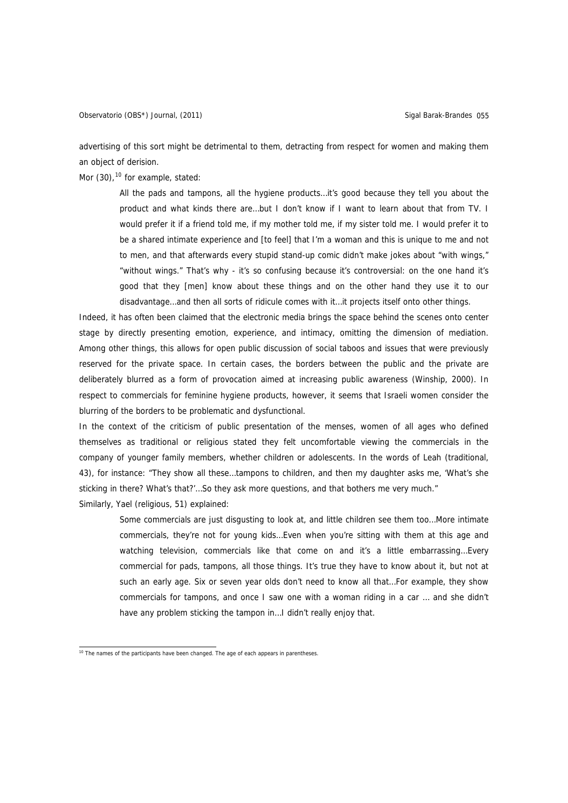advertising of this sort might be detrimental to them, detracting from respect for women and making them an object of derision.

Mor  $(30)$ , <sup>[10](#page-6-0)</sup> for example, stated:

All the pads and tampons, all the hygiene products…it's good because they tell you about the product and what kinds there are…but I don't know if I want to learn about that from TV. I would prefer it if a friend told me, if my mother told me, if my sister told me. I would prefer it to be a shared intimate experience and [to feel] that I'm a woman and this is unique to me and not to men, and that afterwards every stupid stand-up comic didn't make jokes about "with wings," "without wings." That's why - it's so confusing because it's controversial: on the one hand it's good that they [men] know about these things and on the other hand they use it to our disadvantage…and then all sorts of ridicule comes with it…it projects itself onto other things.

Indeed, it has often been claimed that the electronic media brings the space behind the scenes onto center stage by directly presenting emotion, experience, and intimacy, omitting the dimension of mediation. Among other things, this allows for open public discussion of social taboos and issues that were previously reserved for the private space. In certain cases, the borders between the public and the private are deliberately blurred as a form of provocation aimed at increasing public awareness (Winship, 2000). In respect to commercials for feminine hygiene products, however, it seems that Israeli women consider the blurring of the borders to be problematic and dysfunctional.

In the context of the criticism of public presentation of the menses, women of all ages who defined themselves as traditional or religious stated they felt uncomfortable viewing the commercials in the company of younger family members, whether children or adolescents. In the words of Leah (traditional, 43), for instance: "They show all these…tampons to children, and then my daughter asks me, 'What's she sticking in there? What's that?'...So they ask more questions, and that bothers me very much."

Similarly, Yael (religious, 51) explained:

Some commercials are just disgusting to look at, and little children see them too…More intimate commercials, they're not for young kids…Even when you're sitting with them at this age and watching television, commercials like that come on and it's a little embarrassing... Every commercial for pads, tampons, all those things. It's true they have to know about it, but not at such an early age. Six or seven year olds don't need to know all that…For example, they show commercials for tampons, and once I saw one with a woman riding in a car ... and she didn't have any problem sticking the tampon in... I didn't really enjoy that.

<span id="page-6-0"></span> $10$  The names of the participants have been changed. The age of each appears in parentheses.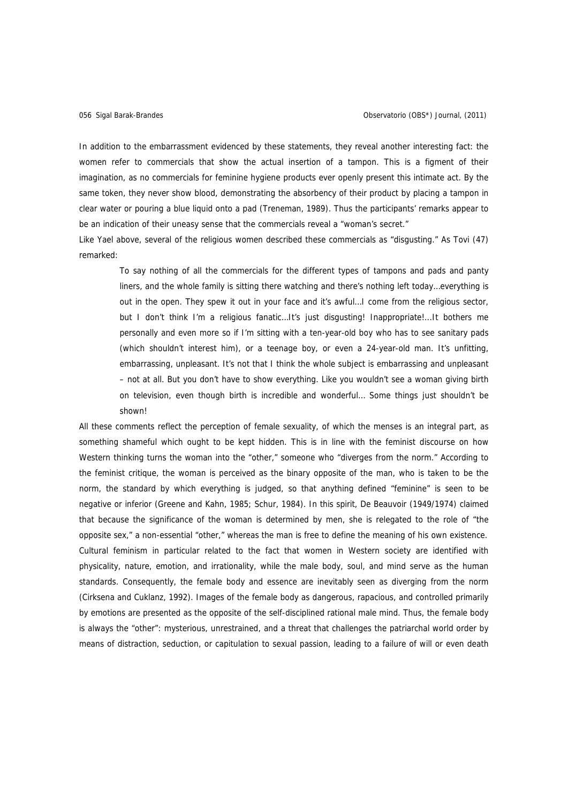In addition to the embarrassment evidenced by these statements, they reveal another interesting fact: the women refer to commercials that show the actual insertion of a tampon. This is a figment of their imagination, as no commercials for feminine hygiene products ever openly present this intimate act. By the same token, they never show blood, demonstrating the absorbency of their product by placing a tampon in clear water or pouring a blue liquid onto a pad (Treneman, 1989). Thus the participants' remarks appear to be an indication of their uneasy sense that the commercials reveal a "woman's secret."

Like Yael above, several of the religious women described these commercials as "disgusting." As Tovi (47) remarked:

To say nothing of all the commercials for the different types of tampons and pads and panty liners, and the whole family is sitting there watching and there's nothing left today…everything is out in the open. They spew it out in your face and it's awful…I come from the religious sector, but I don't think I'm a religious fanatic…It's just disgusting! Inappropriate!...It bothers me personally and even more so if I'm sitting with a ten-year-old boy who has to see sanitary pads (which shouldn't interest him), or a teenage boy, or even a 24-year-old man. It's unfitting, embarrassing, unpleasant. It's not that I think the whole subject is embarrassing and unpleasant – not at all. But you don't have to show everything. Like you wouldn't see a woman giving birth on television, even though birth is incredible and wonderful… Some things just shouldn't be shown!

All these comments reflect the perception of female sexuality, of which the menses is an integral part, as something shameful which ought to be kept hidden. This is in line with the feminist discourse on how Western thinking turns the woman into the "other," someone who "diverges from the norm." According to the feminist critique, the woman is perceived as the binary opposite of the man, who is taken to be the norm, the standard by which everything is judged, so that anything defined "feminine" is seen to be negative or inferior (Greene and Kahn, 1985; Schur, 1984). In this spirit, De Beauvoir (1949/1974) claimed that because the significance of the woman is determined by men, she is relegated to the role of "the opposite sex," a non-essential "other," whereas the man is free to define the meaning of his own existence. Cultural feminism in particular related to the fact that women in Western society are identified with physicality, nature, emotion, and irrationality, while the male body, soul, and mind serve as the human standards. Consequently, the female body and essence are inevitably seen as diverging from the norm (Cirksena and Cuklanz, 1992). Images of the female body as dangerous, rapacious, and controlled primarily by emotions are presented as the opposite of the self-disciplined rational male mind. Thus, the female body is always the "other": mysterious, unrestrained, and a threat that challenges the patriarchal world order by means of distraction, seduction, or capitulation to sexual passion, leading to a failure of will or even death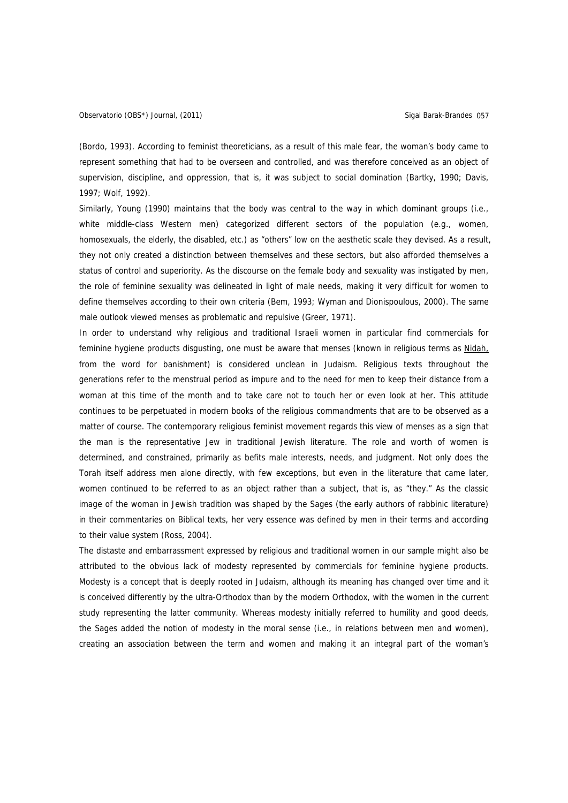(Bordo, 1993). According to feminist theoreticians, as a result of this male fear, the woman's body came to represent something that had to be overseen and controlled, and was therefore conceived as an object of supervision, discipline, and oppression, that is, it was subject to social domination (Bartky, 1990; Davis, 1997; Wolf, 1992).

Similarly, Young (1990) maintains that the body was central to the way in which dominant groups (i.e., white middle-class Western men) categorized different sectors of the population (e.g., women, homosexuals, the elderly, the disabled, etc.) as "others" low on the aesthetic scale they devised. As a result, they not only created a distinction between themselves and these sectors, but also afforded themselves a status of control and superiority. As the discourse on the female body and sexuality was instigated by men, the role of feminine sexuality was delineated in light of male needs, making it very difficult for women to define themselves according to their own criteria (Bem, 1993; Wyman and Dionispoulous, 2000). The same male outlook viewed menses as problematic and repulsive (Greer, 1971).

In order to understand why religious and traditional Israeli women in particular find commercials for feminine hygiene products disgusting, one must be aware that menses (known in religious terms as Nidah, from the word for banishment) is considered unclean in Judaism. Religious texts throughout the generations refer to the menstrual period as impure and to the need for men to keep their distance from a woman at this time of the month and to take care not to touch her or even look at her. This attitude continues to be perpetuated in modern books of the religious commandments that are to be observed as a matter of course. The contemporary religious feminist movement regards this view of menses as a sign that the man is the representative Jew in traditional Jewish literature. The role and worth of women is determined, and constrained, primarily as befits male interests, needs, and judgment. Not only does the Torah itself address men alone directly, with few exceptions, but even in the literature that came later, women continued to be referred to as an object rather than a subject, that is, as "they." As the classic image of the woman in Jewish tradition was shaped by the Sages (the early authors of rabbinic literature) in their commentaries on Biblical texts, her very essence was defined by men in their terms and according to their value system (Ross, 2004).

The distaste and embarrassment expressed by religious and traditional women in our sample might also be attributed to the obvious lack of modesty represented by commercials for feminine hygiene products. Modesty is a concept that is deeply rooted in Judaism, although its meaning has changed over time and it is conceived differently by the ultra-Orthodox than by the modern Orthodox, with the women in the current study representing the latter community. Whereas modesty initially referred to humility and good deeds, the Sages added the notion of modesty in the moral sense (i.e., in relations between men and women), creating an association between the term and women and making it an integral part of the woman's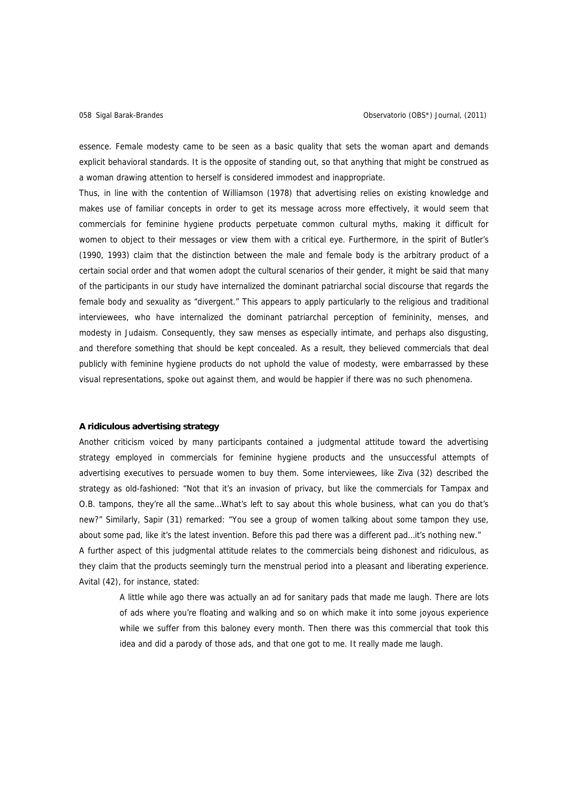essence. Female modesty came to be seen as a basic quality that sets the woman apart and demands explicit behavioral standards. It is the opposite of standing out, so that anything that might be construed as a woman drawing attention to herself is considered immodest and inappropriate.

Thus, in line with the contention of Williamson (1978) that advertising relies on existing knowledge and makes use of familiar concepts in order to get its message across more effectively, it would seem that commercials for feminine hygiene products perpetuate common cultural myths, making it difficult for women to object to their messages or view them with a critical eye. Furthermore, in the spirit of Butler's (1990, 1993) claim that the distinction between the male and female body is the arbitrary product of a certain social order and that women adopt the cultural scenarios of their gender, it might be said that many of the participants in our study have internalized the dominant patriarchal social discourse that regards the female body and sexuality as "divergent." This appears to apply particularly to the religious and traditional interviewees, who have internalized the dominant patriarchal perception of femininity, menses, and modesty in Judaism. Consequently, they saw menses as especially intimate, and perhaps also disgusting, and therefore something that should be kept concealed. As a result, they believed commercials that deal publicly with feminine hygiene products do not uphold the value of modesty, were embarrassed by these visual representations, spoke out against them, and would be happier if there was no such phenomena.

#### **A ridiculous advertising strategy**

Another criticism voiced by many participants contained a judgmental attitude toward the advertising strategy employed in commercials for feminine hygiene products and the unsuccessful attempts of advertising executives to persuade women to buy them. Some interviewees, like Ziva (32) described the strategy as old-fashioned: "Not that it's an invasion of privacy, but like the commercials for Tampax and O.B. tampons, they're all the same…What's left to say about this whole business, what can you do that's new?" Similarly, Sapir (31) remarked: "You see a group of women talking about some tampon they use, about some pad, like it's the latest invention. Before this pad there was a different pad…it's nothing new." A further aspect of this judgmental attitude relates to the commercials being dishonest and ridiculous, as they claim that the products seemingly turn the menstrual period into a pleasant and liberating experience. Avital (42), for instance, stated:

A little while ago there was actually an ad for sanitary pads that made me laugh. There are lots of ads where you're floating and walking and so on which make it into some joyous experience while we suffer from this baloney every month. Then there was this commercial that took this idea and did a parody of those ads, and that one got to me. It really made me laugh.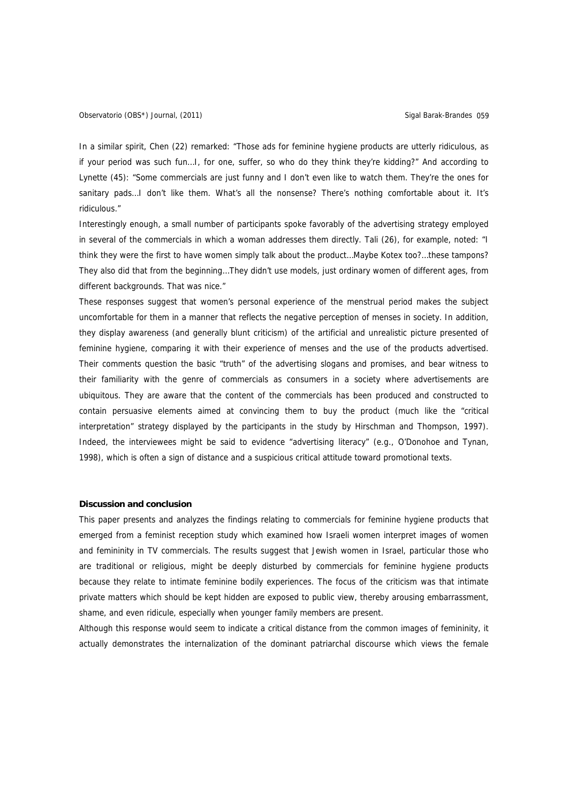In a similar spirit, Chen (22) remarked: "Those ads for feminine hygiene products are utterly ridiculous, as if your period was such fun…I, for one, suffer, so who do they think they're kidding?" And according to Lynette (45): "Some commercials are just funny and I don't even like to watch them. They're the ones for sanitary pads... I don't like them. What's all the nonsense? There's nothing comfortable about it. It's ridiculous."

Interestingly enough, a small number of participants spoke favorably of the advertising strategy employed in several of the commercials in which a woman addresses them directly. Tali (26), for example, noted: "I think they were the first to have women simply talk about the product…Maybe Kotex too?…these tampons? They also did that from the beginning…They didn't use models, just ordinary women of different ages, from different backgrounds. That was nice."

These responses suggest that women's personal experience of the menstrual period makes the subject uncomfortable for them in a manner that reflects the negative perception of menses in society. In addition, they display awareness (and generally blunt criticism) of the artificial and unrealistic picture presented of feminine hygiene, comparing it with their experience of menses and the use of the products advertised. Their comments question the basic "truth" of the advertising slogans and promises, and bear witness to their familiarity with the genre of commercials as consumers in a society where advertisements are ubiquitous. They are aware that the content of the commercials has been produced and constructed to contain persuasive elements aimed at convincing them to buy the product (much like the "critical interpretation" strategy displayed by the participants in the study by Hirschman and Thompson, 1997). Indeed, the interviewees might be said to evidence "advertising literacy" (e.g., O'Donohoe and Tynan, 1998), which is often a sign of distance and a suspicious critical attitude toward promotional texts.

#### **Discussion and conclusion**

This paper presents and analyzes the findings relating to commercials for feminine hygiene products that emerged from a feminist reception study which examined how Israeli women interpret images of women and femininity in TV commercials. The results suggest that Jewish women in Israel, particular those who are traditional or religious, might be deeply disturbed by commercials for feminine hygiene products because they relate to intimate feminine bodily experiences. The focus of the criticism was that intimate private matters which should be kept hidden are exposed to public view, thereby arousing embarrassment, shame, and even ridicule, especially when younger family members are present.

Although this response would seem to indicate a critical distance from the common images of femininity, it actually demonstrates the internalization of the dominant patriarchal discourse which views the female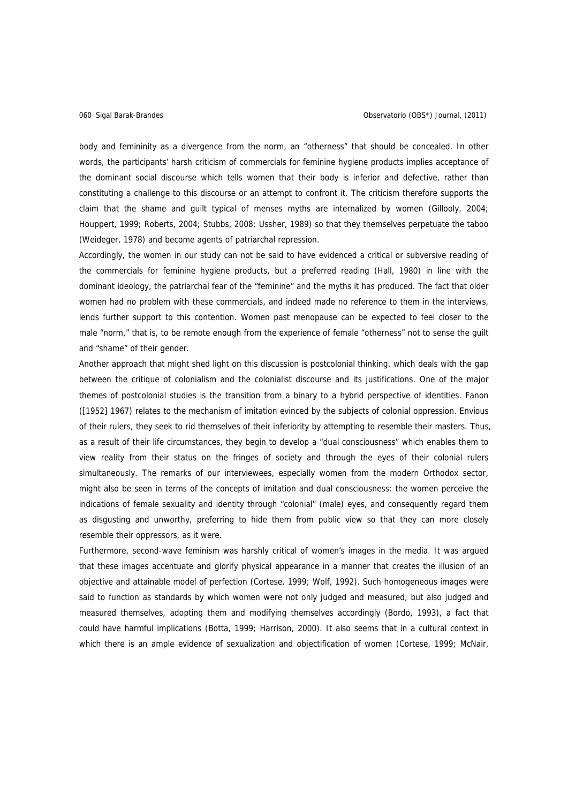body and femininity as a divergence from the norm, an "otherness" that should be concealed. In other words, the participants' harsh criticism of commercials for feminine hygiene products implies acceptance of the dominant social discourse which tells women that their body is inferior and defective, rather than constituting a challenge to this discourse or an attempt to confront it. The criticism therefore supports the claim that the shame and guilt typical of menses myths are internalized by women (Gillooly, 2004; Houppert, 1999; Roberts, 2004; Stubbs, 2008; Ussher, 1989) so that they themselves perpetuate the taboo (Weideger, 1978) and become agents of patriarchal repression.

Accordingly, the women in our study can not be said to have evidenced a critical or subversive reading of the commercials for feminine hygiene products, but a preferred reading (Hall, 1980) in line with the dominant ideology, the patriarchal fear of the "feminine" and the myths it has produced. The fact that older women had no problem with these commercials, and indeed made no reference to them in the interviews, lends further support to this contention. Women past menopause can be expected to feel closer to the male "norm," that is, to be remote enough from the experience of female "otherness" not to sense the guilt and "shame" of their gender.

Another approach that might shed light on this discussion is postcolonial thinking, which deals with the gap between the critique of colonialism and the colonialist discourse and its justifications. One of the major themes of postcolonial studies is the transition from a binary to a hybrid perspective of identities. Fanon ([1952] 1967) relates to the mechanism of imitation evinced by the subjects of colonial oppression. Envious of their rulers, they seek to rid themselves of their inferiority by attempting to resemble their masters. Thus, as a result of their life circumstances, they begin to develop a "dual consciousness" which enables them to view reality from their status on the fringes of society and through the eyes of their colonial rulers simultaneously. The remarks of our interviewees, especially women from the modern Orthodox sector, might also be seen in terms of the concepts of imitation and dual consciousness: the women perceive the indications of female sexuality and identity through "colonial" (male) eyes, and consequently regard them as disgusting and unworthy, preferring to hide them from public view so that they can more closely resemble their oppressors, as it were.

Furthermore, second-wave feminism was harshly critical of women's images in the media. It was argued that these images accentuate and glorify physical appearance in a manner that creates the illusion of an objective and attainable model of perfection (Cortese, 1999; Wolf, 1992). Such homogeneous images were said to function as standards by which women were not only judged and measured, but also judged and measured themselves, adopting them and modifying themselves accordingly (Bordo, 1993), a fact that could have harmful implications (Botta, 1999; Harrison, 2000). It also seems that in a cultural context in which there is an ample evidence of sexualization and objectification of women (Cortese, 1999; McNair,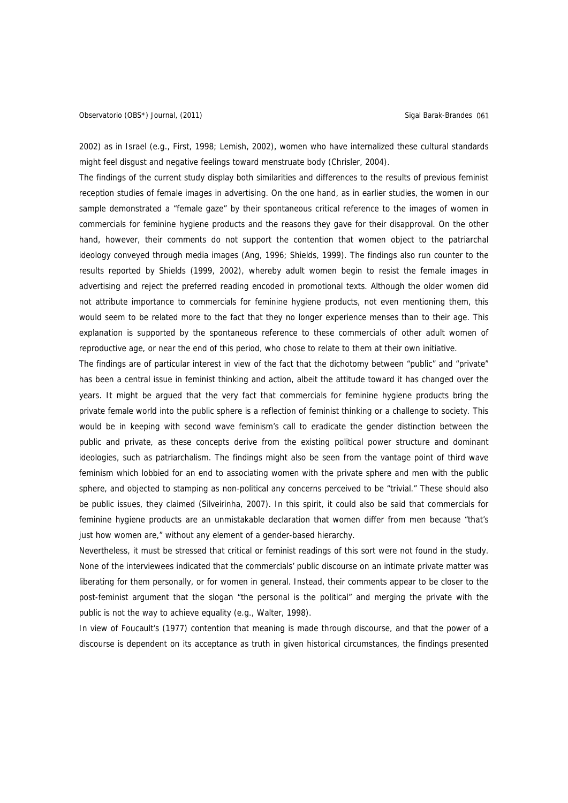2002) as in Israel (e.g., First, 1998; Lemish, 2002), women who have internalized these cultural standards might feel disgust and negative feelings toward menstruate body (Chrisler, 2004).

The findings of the current study display both similarities and differences to the results of previous feminist reception studies of female images in advertising. On the one hand, as in earlier studies, the women in our sample demonstrated a "female gaze" by their spontaneous critical reference to the images of women in commercials for feminine hygiene products and the reasons they gave for their disapproval. On the other hand, however, their comments do not support the contention that women object to the patriarchal ideology conveyed through media images (Ang, 1996; Shields, 1999). The findings also run counter to the results reported by Shields (1999, 2002), whereby adult women begin to resist the female images in advertising and reject the preferred reading encoded in promotional texts. Although the older women did not attribute importance to commercials for feminine hygiene products, not even mentioning them, this would seem to be related more to the fact that they no longer experience menses than to their age. This explanation is supported by the spontaneous reference to these commercials of other adult women of reproductive age, or near the end of this period, who chose to relate to them at their own initiative.

The findings are of particular interest in view of the fact that the dichotomy between "public" and "private" has been a central issue in feminist thinking and action, albeit the attitude toward it has changed over the years. It might be argued that the very fact that commercials for feminine hygiene products bring the private female world into the public sphere is a reflection of feminist thinking or a challenge to society. This would be in keeping with second wave feminism's call to eradicate the gender distinction between the public and private, as these concepts derive from the existing political power structure and dominant ideologies, such as patriarchalism. The findings might also be seen from the vantage point of third wave feminism which lobbied for an end to associating women with the private sphere and men with the public sphere, and objected to stamping as non-political any concerns perceived to be "trivial." These should also be public issues, they claimed (Silveirinha, 2007). In this spirit, it could also be said that commercials for feminine hygiene products are an unmistakable declaration that women differ from men because "that's just how women are," without any element of a gender-based hierarchy.

Nevertheless, it must be stressed that critical or feminist readings of this sort were not found in the study. None of the interviewees indicated that the commercials' public discourse on an intimate private matter was liberating for them personally, or for women in general. Instead, their comments appear to be closer to the post-feminist argument that the slogan "the personal is the political" and merging the private with the public is not the way to achieve equality (e.g., Walter, 1998).

In view of Foucault's (1977) contention that meaning is made through discourse, and that the power of a discourse is dependent on its acceptance as truth in given historical circumstances, the findings presented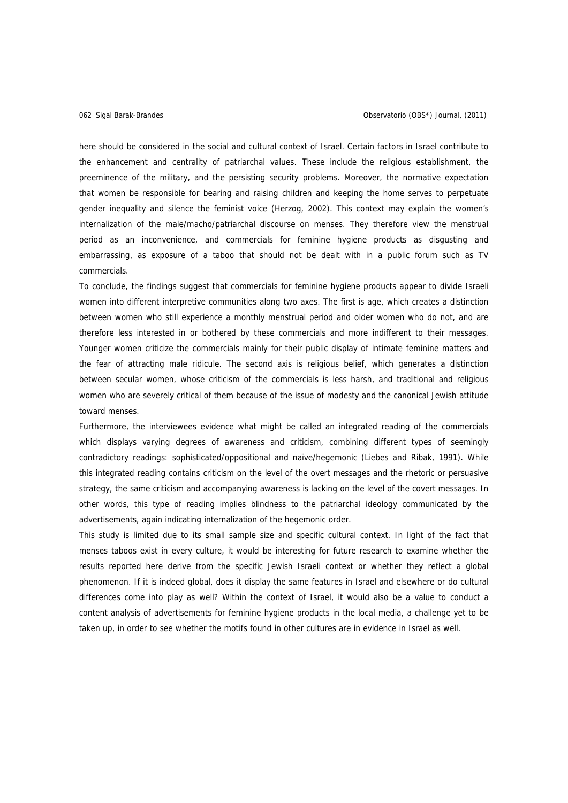here should be considered in the social and cultural context of Israel. Certain factors in Israel contribute to the enhancement and centrality of patriarchal values. These include the religious establishment, the preeminence of the military, and the persisting security problems. Moreover, the normative expectation that women be responsible for bearing and raising children and keeping the home serves to perpetuate gender inequality and silence the feminist voice (Herzog, 2002). This context may explain the women's internalization of the male/macho/patriarchal discourse on menses. They therefore view the menstrual period as an inconvenience, and commercials for feminine hygiene products as disgusting and embarrassing, as exposure of a taboo that should not be dealt with in a public forum such as TV commercials.

To conclude, the findings suggest that commercials for feminine hygiene products appear to divide Israeli women into different interpretive communities along two axes. The first is age, which creates a distinction between women who still experience a monthly menstrual period and older women who do not, and are therefore less interested in or bothered by these commercials and more indifferent to their messages. Younger women criticize the commercials mainly for their public display of intimate feminine matters and the fear of attracting male ridicule. The second axis is religious belief, which generates a distinction between secular women, whose criticism of the commercials is less harsh, and traditional and religious women who are severely critical of them because of the issue of modesty and the canonical Jewish attitude toward menses.

Furthermore, the interviewees evidence what might be called an integrated reading of the commercials which displays varying degrees of awareness and criticism, combining different types of seemingly contradictory readings: sophisticated/oppositional and naïve/hegemonic (Liebes and Ribak, 1991). While this integrated reading contains criticism on the level of the overt messages and the rhetoric or persuasive strategy, the same criticism and accompanying awareness is lacking on the level of the covert messages. In other words, this type of reading implies blindness to the patriarchal ideology communicated by the advertisements, again indicating internalization of the hegemonic order.

This study is limited due to its small sample size and specific cultural context. In light of the fact that menses taboos exist in every culture, it would be interesting for future research to examine whether the results reported here derive from the specific Jewish Israeli context or whether they reflect a global phenomenon. If it is indeed global, does it display the same features in Israel and elsewhere or do cultural differences come into play as well? Within the context of Israel, it would also be a value to conduct a content analysis of advertisements for feminine hygiene products in the local media, a challenge yet to be taken up, in order to see whether the motifs found in other cultures are in evidence in Israel as well.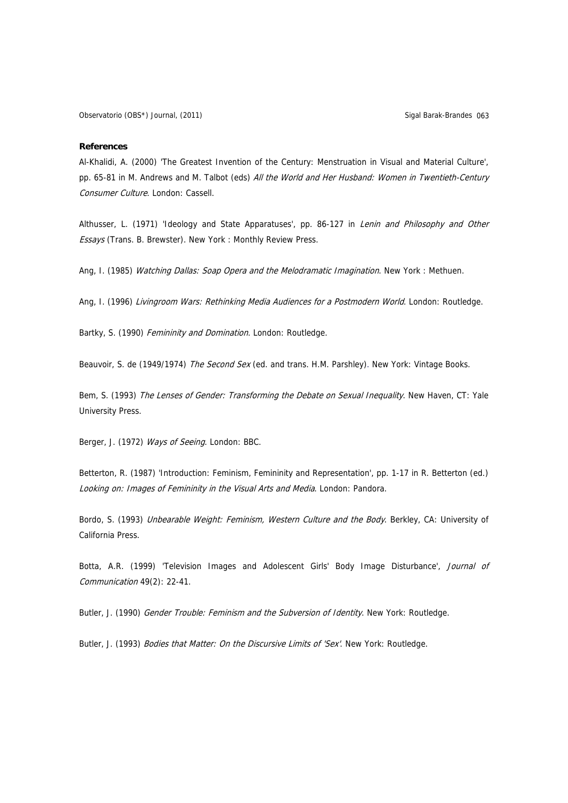#### **References**

Al-Khalidi, A. (2000) 'The Greatest Invention of the Century: Menstruation in Visual and Material Culture', pp. 65-81 in M. Andrews and M. Talbot (eds) All the World and Her Husband: Women in Twentieth-Century Consumer Culture. London: Cassell.

Althusser, L. (1971) 'Ideology and State Apparatuses', pp. 86-127 in Lenin and Philosophy and Other Essays (Trans. B. Brewster). New York : Monthly Review Press.

Ang, I. (1985) Watching Dallas: Soap Opera and the Melodramatic Imagination. New York : Methuen.

Ang, I. (1996) Livingroom Wars: Rethinking Media Audiences for a Postmodern World. London: Routledge.

Bartky, S. (1990) Femininity and Domination. London: Routledge.

Beauvoir, S. de (1949/1974) The Second Sex (ed. and trans. H.M. Parshley). New York: Vintage Books.

Bem, S. (1993) The Lenses of Gender: Transforming the Debate on Sexual Inequality. New Haven, CT: Yale University Press.

Berger, J. (1972) Ways of Seeing. London: BBC.

Betterton, R. (1987) 'Introduction: Feminism, Femininity and Representation', pp. 1-17 in R. Betterton (ed.) Looking on: Images of Femininity in the Visual Arts and Media. London: Pandora.

Bordo, S. (1993) Unbearable Weight: Feminism, Western Culture and the Body. Berkley, CA: University of California Press.

Botta, A.R. (1999) 'Television Images and Adolescent Girls' Body Image Disturbance', Journal of Communication 49(2): 22-41.

Butler, J. (1990) Gender Trouble: Feminism and the Subversion of Identity. New York: Routledge.

Butler, J. (1993) Bodies that Matter: On the Discursive Limits of 'Sex'. New York: Routledge.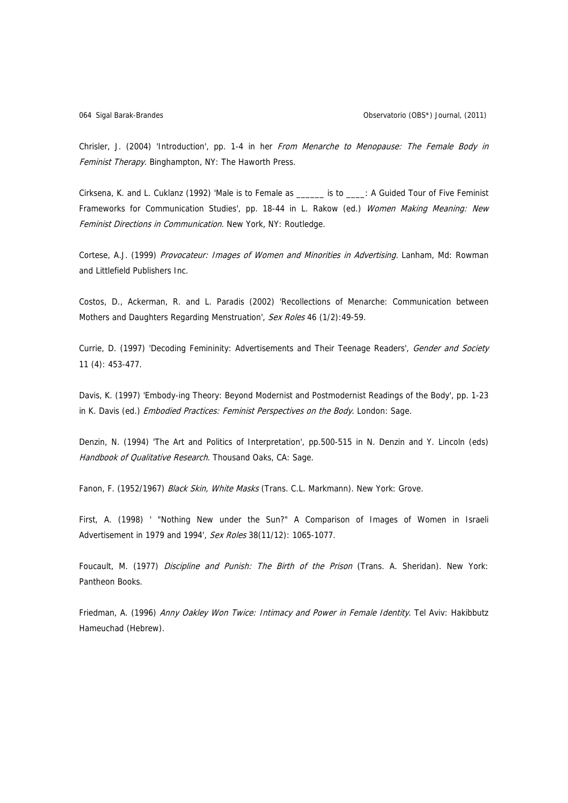Chrisler, J. (2004) 'Introduction', pp. 1-4 in her From Menarche to Menopause: The Female Body in Feminist Therapy. Binghampton, NY: The Haworth Press.

Cirksena, K. and L. Cuklanz (1992) 'Male is to Female as \_\_\_\_\_\_ is to \_\_\_\_: A Guided Tour of Five Feminist Frameworks for Communication Studies', pp. 18-44 in L. Rakow (ed.) Women Making Meaning: New Feminist Directions in Communication. New York, NY: Routledge.

Cortese, A.J. (1999) Provocateur: Images of Women and Minorities in Advertising. Lanham, Md: Rowman and Littlefield Publishers Inc.

Costos, D., Ackerman, R. and L. Paradis (2002) 'Recollections of Menarche: Communication between Mothers and Daughters Regarding Menstruation', Sex Roles 46 (1/2):49-59.

Currie, D. (1997) 'Decoding Femininity: Advertisements and Their Teenage Readers', Gender and Society 11 (4): 453-477.

Davis, K. (1997) 'Embody-ing Theory: Beyond Modernist and Postmodernist Readings of the Body', pp. 1-23 in K. Davis (ed.) Embodied Practices: Feminist Perspectives on the Body. London: Sage.

Denzin, N. (1994) 'The Art and Politics of Interpretation', pp.500-515 in N. Denzin and Y. Lincoln (eds) Handbook of Qualitative Research. Thousand Oaks, CA: Sage.

Fanon, F. (1952/1967) Black Skin, White Masks (Trans. C.L. Markmann). New York: Grove.

First, A. (1998) ' "Nothing New under the Sun?" A Comparison of Images of Women in Israeli Advertisement in 1979 and 1994', Sex Roles 38(11/12): 1065-1077.

Foucault, M. (1977) Discipline and Punish: The Birth of the Prison (Trans. A. Sheridan). New York: Pantheon Books.

Friedman, A. (1996) Anny Oakley Won Twice: Intimacy and Power in Female Identity. Tel Aviv: Hakibbutz Hameuchad (Hebrew).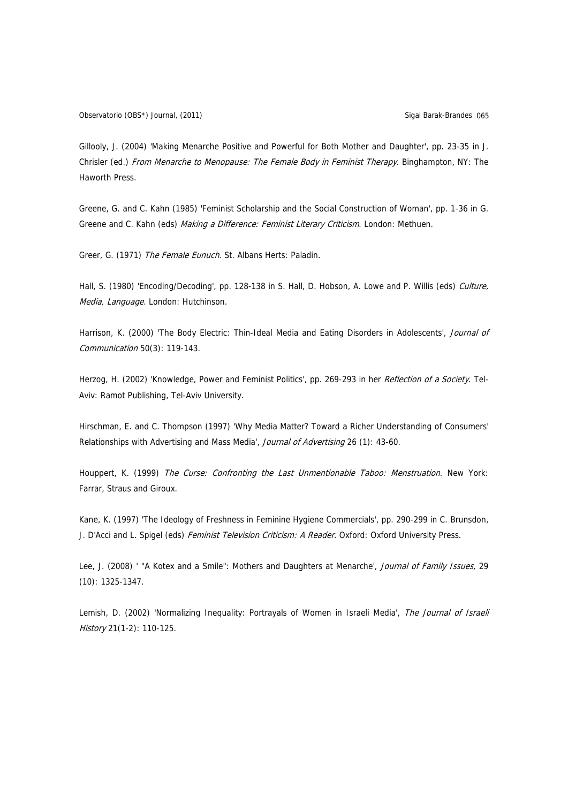Gillooly, J. (2004) 'Making Menarche Positive and Powerful for Both Mother and Daughter', pp. 23-35 in J. Chrisler (ed.) From Menarche to Menopause: The Female Body in Feminist Therapy. Binghampton, NY: The Haworth Press.

Greene, G. and C. Kahn (1985) 'Feminist Scholarship and the Social Construction of Woman', pp. 1-36 in G. Greene and C. Kahn (eds) Making a Difference: Feminist Literary Criticism. London: Methuen.

Greer, G. (1971) The Female Eunuch. St. Albans Herts: Paladin.

Hall, S. (1980) 'Encoding/Decoding', pp. 128-138 in S. Hall, D. Hobson, A. Lowe and P. Willis (eds) Culture, Media, Language. London: Hutchinson.

Harrison, K. (2000) 'The Body Electric: Thin-Ideal Media and Eating Disorders in Adolescents', Journal of Communication 50(3): 119-143.

Herzog, H. (2002) 'Knowledge, Power and Feminist Politics', pp. 269-293 in her Reflection of a Society. Tel-Aviv: Ramot Publishing, Tel-Aviv University.

Hirschman, E. and C. Thompson (1997) 'Why Media Matter? Toward a Richer Understanding of Consumers' Relationships with Advertising and Mass Media', Journal of Advertising 26 (1): 43-60.

Houppert, K. (1999) The Curse: Confronting the Last Unmentionable Taboo: Menstruation. New York: Farrar, Straus and Giroux.

Kane, K. (1997) 'The Ideology of Freshness in Feminine Hygiene Commercials', pp. 290-299 in C. Brunsdon, J. D'Acci and L. Spigel (eds) Feminist Television Criticism: A Reader. Oxford: Oxford University Press.

Lee, J. (2008) ' "A Kotex and a Smile": Mothers and Daughters at Menarche', Journal of Family Issues, 29 (10): 1325-1347.

Lemish, D. (2002) 'Normalizing Inequality: Portrayals of Women in Israeli Media', The Journal of Israeli History 21(1-2): 110-125.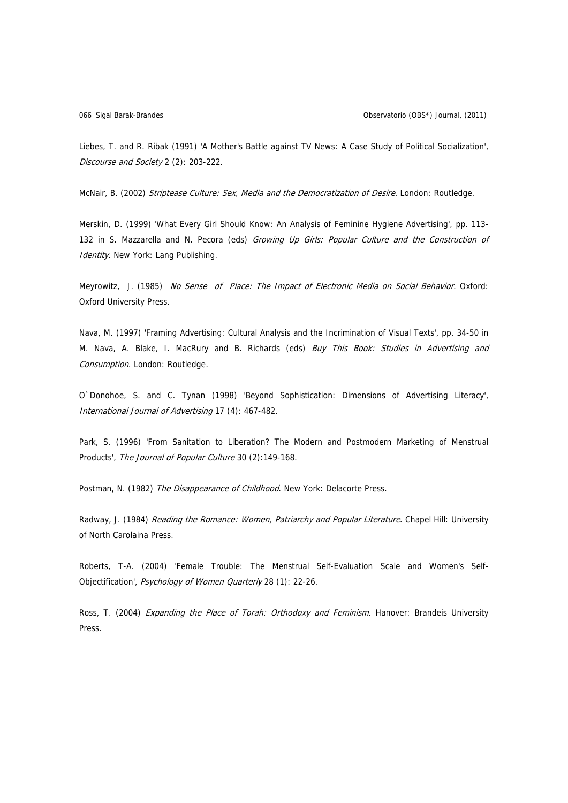Liebes, T. and R. Ribak (1991) 'A Mother's Battle against TV News: A Case Study of Political Socialization', Discourse and Society 2 (2): 203-222.

McNair, B. (2002) Striptease Culture: Sex, Media and the Democratization of Desire. London: Routledge.

Merskin, D. (1999) 'What Every Girl Should Know: An Analysis of Feminine Hygiene Advertising', pp. 113- 132 in S. Mazzarella and N. Pecora (eds) Growing Up Girls: Popular Culture and the Construction of Identity. New York: Lang Publishing.

Meyrowitz, J. (1985) No Sense of Place: The Impact of Electronic Media on Social Behavior. Oxford: Oxford University Press.

Nava, M. (1997) 'Framing Advertising: Cultural Analysis and the Incrimination of Visual Texts', pp. 34-50 in M. Nava, A. Blake, I. MacRury and B. Richards (eds) Buy This Book: Studies in Advertising and Consumption. London: Routledge.

O`Donohoe, S. and C. Tynan (1998) 'Beyond Sophistication: Dimensions of Advertising Literacy', International Journal of Advertising 17 (4): 467-482.

Park, S. (1996) 'From Sanitation to Liberation? The Modern and Postmodern Marketing of Menstrual Products', The Journal of Popular Culture 30 (2):149-168.

Postman, N. (1982) The Disappearance of Childhood. New York: Delacorte Press.

Radway, J. (1984) Reading the Romance: Women, Patriarchy and Popular Literature. Chapel Hill: University of North Carolaina Press.

Roberts, T-A. (2004) 'Female Trouble: The Menstrual Self-Evaluation Scale and Women's Self-Objectification', Psychology of Women Quarterly 28 (1): 22-26.

Ross, T. (2004) Expanding the Place of Torah: Orthodoxy and Feminism. Hanover: Brandeis University Press.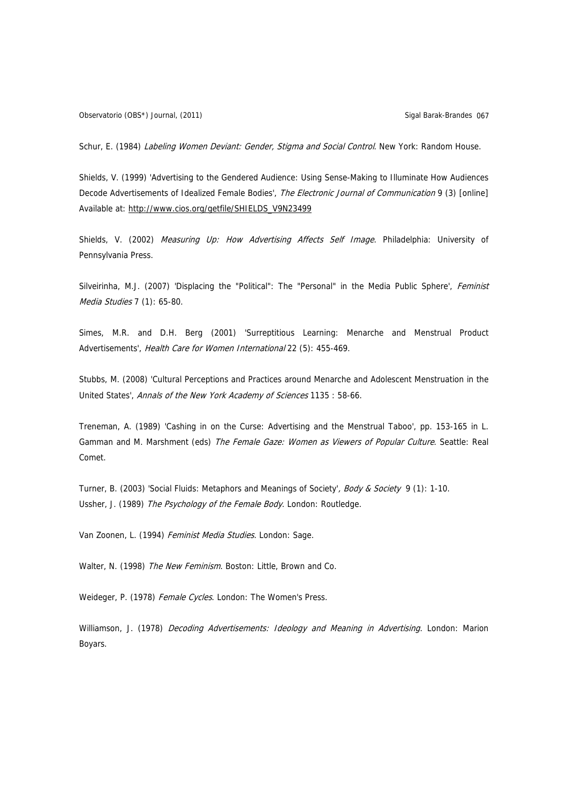Schur, E. (1984) Labeling Women Deviant: Gender, Stigma and Social Control. New York: Random House.

Shields, V. (1999) 'Advertising to the Gendered Audience: Using Sense-Making to Illuminate How Audiences Decode Advertisements of Idealized Female Bodies', The Electronic Journal of Communication 9 (3) [online] Available at: [http://www.cios.org/getfile/SHIELDS\\_V9N23499](http://www.cios.org/getfile/SHIELDS_V9N23499)

Shields, V. (2002) Measuring Up: How Advertising Affects Self Image. Philadelphia: University of Pennsylvania Press.

Silveirinha, M.J. (2007) 'Displacing the "Political": The "Personal" in the Media Public Sphere', Feminist Media Studies 7 (1): 65-80.

Simes, M.R. and D.H. Berg (2001) 'Surreptitious Learning: Menarche and Menstrual Product Advertisements', Health Care for Women International 22 (5): 455-469.

Stubbs, M. (2008) 'Cultural Perceptions and Practices around Menarche and Adolescent Menstruation in the United States', Annals of the New York Academy of Sciences 1135 : 58-66.

Treneman, A. (1989) 'Cashing in on the Curse: Advertising and the Menstrual Taboo', pp. 153-165 in L. Gamman and M. Marshment (eds) The Female Gaze: Women as Viewers of Popular Culture. Seattle: Real Comet.

Turner, B. (2003) 'Social Fluids: Metaphors and Meanings of Society', Body & Society 9 (1): 1-10. Ussher, J. (1989) The Psychology of the Female Body. London: Routledge.

Van Zoonen, L. (1994) Feminist Media Studies. London: Sage.

Walter, N. (1998) The New Feminism. Boston: Little, Brown and Co.

Weideger, P. (1978) Female Cycles. London: The Women's Press.

Williamson, J. (1978) Decoding Advertisements: Ideology and Meaning in Advertising. London: Marion Boyars.